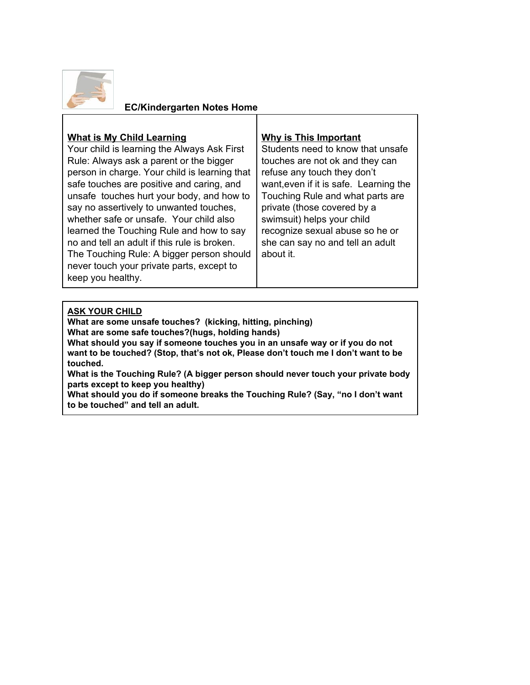

#### **EC/Kindergarten Notes Home**

#### **What is My Child Learning**

Your child is learning the Always Ask First Rule: Always ask a parent or the bigger person in charge. Your child is learning that safe touches are positive and caring, and unsafe touches hurt your body, and how to say no assertively to unwanted touches, whether safe or unsafe. Your child also learned the Touching Rule and how to say no and tell an adult if this rule is broken. The Touching Rule: A bigger person should never touch your private parts, except to keep you healthy.

#### **Why is This Important**

Students need to know that unsafe touches are not ok and they can refuse any touch they don't want,even if it is safe. Learning the Touching Rule and what parts are private (those covered by a swimsuit) helps your child recognize sexual abuse so he or she can say no and tell an adult about it.

#### **ASK YOUR CHILD**

**What are some unsafe touches? (kicking, hitting, pinching) What are some safe touches?(hugs, holding hands) What should you say if someone touches you in an unsafe way or if you do not want to be touched? (Stop, that's not ok, Please don't touch me I don't want to be touched.**

**What is the Touching Rule? (A bigger person should never touch your private body parts except to keep you healthy)**

**What should you do if someone breaks the Touching Rule? (Say, "no I don't want to be touched" and tell an adult.**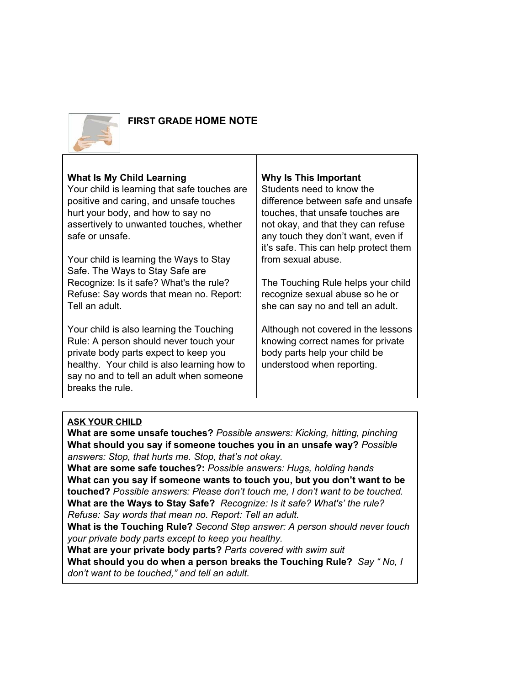

# **FIRST GRADE HOME NOTE**

## **What Is My Child Learning**

Your child is learning that safe touches are positive and caring, and unsafe touches hurt your body, and how to say no assertively to unwanted touches, whether safe or unsafe.

Your child is learning the Ways to Stay Safe. The Ways to Stay Safe are Recognize: Is it safe? What's the rule? Refuse: Say words that mean no. Report: Tell an adult.

Your child is also learning the Touching Rule: A person should never touch your private body parts expect to keep you healthy. Your child is also learning how to say no and to tell an adult when someone breaks the rule.

#### **Why Is This Important**

Students need to know the difference between safe and unsafe touches, that unsafe touches are not okay, and that they can refuse any touch they don't want, even if it's safe. This can help protect them from sexual abuse.

The Touching Rule helps your child recognize sexual abuse so he or she can say no and tell an adult.

Although not covered in the lessons knowing correct names for private body parts help your child be understood when reporting.

## **ASK YOUR CHILD**

**What are some unsafe touches?** *Po ssible answers: Kicking, hitting, pinching* **What should you say if someone touches you in an unsafe way?** *P ossible answers: Stop, that hurts me. Stop, that's not okay.*

**What are some safe touches?:** *Po ssible answers: Hugs, holding hands* **What can you say if someone wants to touch you, but you don't want to be touched?** *Possible answers: Please don't touch me, I don't want to be touched.* **What are the Ways to Stay Safe?** *Recognize: Is it safe? What's' the rule? Refuse: Say words that mean no. Report: Tell an adult.*

**What is the Touching Rule?** *Se cond Step answer: A person should never touch your private body parts except to keep you healthy.*

**What are your private body parts?** *Parts covered with swim suit*

**What should you do when a person breaks the Touching Rule?** *Say " No, I don't want to be touched," and tell an adult.*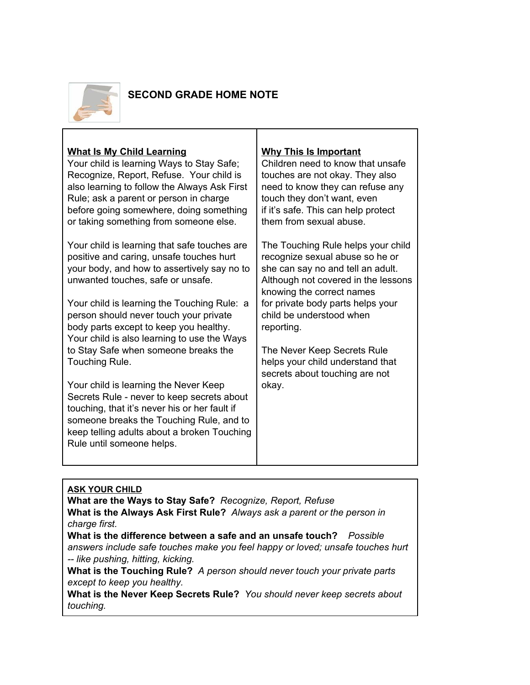

# **SECOND GRADE HOME NOTE**

## **What Is My Child Learning**

Your child is learning Ways to Stay Safe; Recognize, Report, Refuse. Your child is also learning to follow the Always Ask First Rule; ask a parent or person in charge before going somewhere, doing something or taking something from someone else.

Your child is learning that safe touches are positive and caring, unsafe touches hurt your body, and how to assertively say no to unwanted touches, safe or unsafe.

Your child is learning the Touching Rule: a person should never touch your private body parts except to keep you healthy. Your child is also learning to use the Ways to Stay Safe when someone breaks the Touching Rule.

Your child is learning the Never Keep Secrets Rule - never to keep secrets about touching, that it's never his or her fault if someone breaks the Touching Rule, and to keep telling adults about a broken Touching Rule until someone helps.

## **Why This Is Important**

Children need to know that unsafe touches are not okay. They also need to know they can refuse any touch they don't want, even if it's safe. This can help protect them from sexual abuse.

The Touching Rule helps your child recognize sexual abuse so he or she can say no and tell an adult. Although not covered in the lessons knowing the correct names for private body parts helps your child be understood when reporting.

The Never Keep Secrets Rule helps your child understand that secrets about touching are not okay.

## **ASK YOUR CHILD**

**What are the Ways to Stay Safe?** *Recognize, Report, Refuse* **What is the Always Ask First Rule?** *Always ask a parent or the person in charge first.*

 **What is the difference between a safe and an unsafe touch?** *Possible answers include safe touches make you feel happy or loved; unsafe touches hurt -- like pushing, hitting, kicking.*

**What is the Touching Rule?** *A person should never touch your private parts except to keep you healthy.*

**What is the Never Keep Secrets Rule?** *You should never keep secrets about touching.*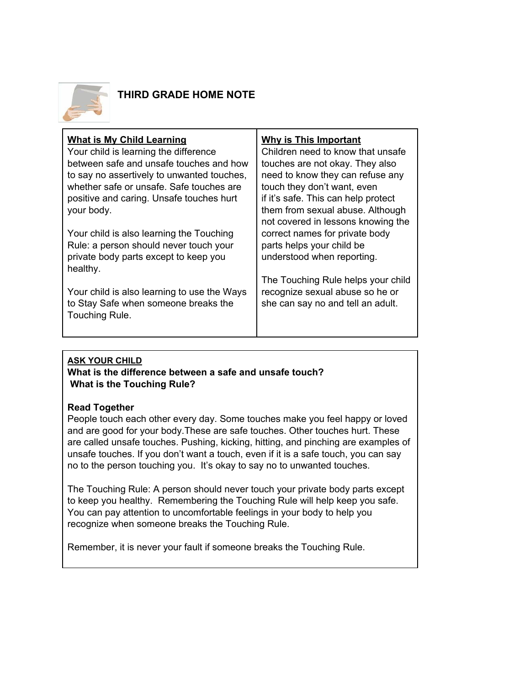

# **THIRD GRADE HOME NOTE**

#### **ASK YOUR CHILD What is the difference between a safe and unsafe touch? What is the Touching Rule?**

## **Read Together**

People touch each other every day. Some touches make you feel happy or loved and are good for your body.These are safe touches. Other touches hurt. These are called unsafe touches. Pushing, kicking, hitting, and pinching are examples of unsafe touches. If you don't want a touch, even if it is a safe touch, you can say no to the person touching you. It's okay to say no to unwanted touches.

The Touching Rule: A person should never touch your private body parts except to keep you healthy. Remembering the Touching Rule will help keep you safe. You can pay attention to uncomfortable feelings in your body to help you recognize when someone breaks the Touching Rule.

Remember, it is never your fault if someone breaks the Touching Rule.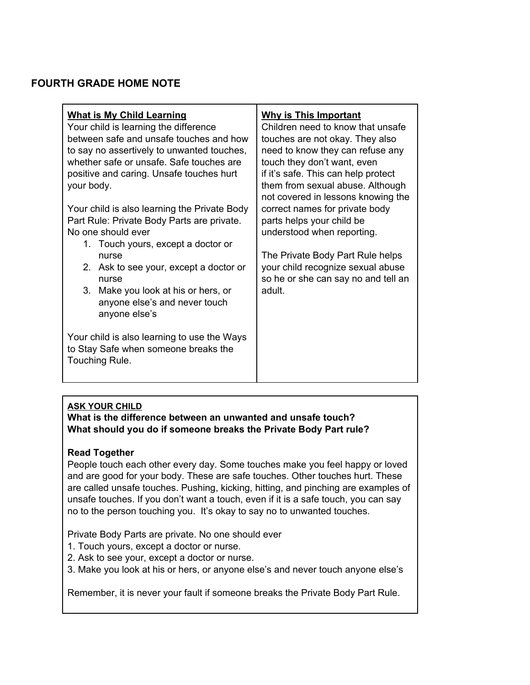## **FOURTH GRADE HOME NOTE**

| <b>What is My Child Learning</b><br>Your child is learning the difference<br>between safe and unsafe touches and how<br>to say no assertively to unwanted touches,<br>whether safe or unsafe. Safe touches are<br>positive and caring. Unsafe touches hurt<br>your body.<br>Your child is also learning the Private Body<br>Part Rule: Private Body Parts are private.<br>No one should ever<br>1. Touch yours, except a doctor or<br>nurse<br>2. Ask to see your, except a doctor or<br>nurse<br>3.<br>Make you look at his or hers, or<br>anyone else's and never touch<br>anyone else's | <b>Why is This Important</b><br>Children need to know that unsafe<br>touches are not okay. They also<br>need to know they can refuse any<br>touch they don't want, even<br>if it's safe. This can help protect<br>them from sexual abuse. Although<br>not covered in lessons knowing the<br>correct names for private body<br>parts helps your child be<br>understood when reporting.<br>The Private Body Part Rule helps<br>your child recognize sexual abuse<br>so he or she can say no and tell an<br>adult. |
|--------------------------------------------------------------------------------------------------------------------------------------------------------------------------------------------------------------------------------------------------------------------------------------------------------------------------------------------------------------------------------------------------------------------------------------------------------------------------------------------------------------------------------------------------------------------------------------------|-----------------------------------------------------------------------------------------------------------------------------------------------------------------------------------------------------------------------------------------------------------------------------------------------------------------------------------------------------------------------------------------------------------------------------------------------------------------------------------------------------------------|
| Your child is also learning to use the Ways<br>to Stay Safe when someone breaks the<br>Touching Rule.                                                                                                                                                                                                                                                                                                                                                                                                                                                                                      |                                                                                                                                                                                                                                                                                                                                                                                                                                                                                                                 |

## **ASK YOUR CHILD**

**What is the difference between an unwanted and unsafe touch? What should you do if someone breaks the Private Body Part rule?**

#### **Read Together**

People touch each other every day. Some touches make you feel happy or loved and are good for your body. These are safe touches. Other touches hurt. These are called unsafe touches. Pushing, kicking, hitting, and pinching are examples of unsafe touches. If you don't want a touch, even if it is a safe touch, you can say no to the person touching you. It's okay to say no to unwanted touches.

Private Body Parts are private. No one should ever

- 1. Touch yours, except a doctor or nurse.
- 2. Ask to see your, except a doctor or nurse.
- 3. Make you look at his or hers, or anyone else's and never touch anyone else's

Remember, it is never your fault if someone breaks the Private Body Part Rule.